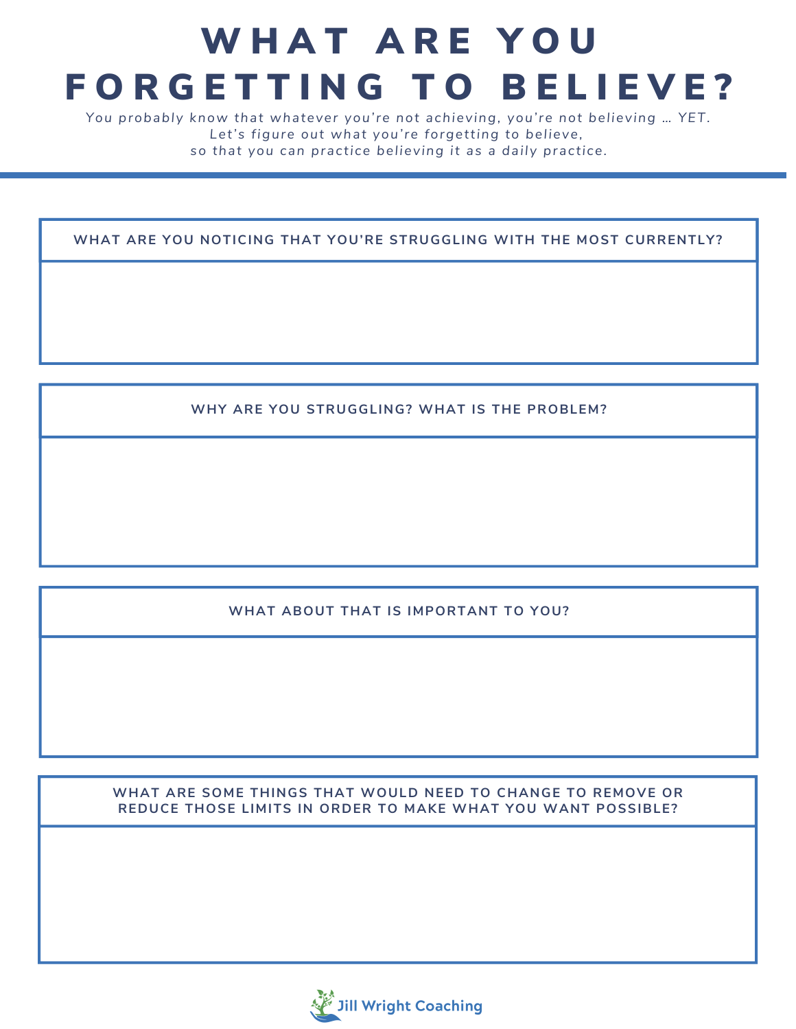# WHAT ARE YOU FORGETTING TO BELIEVE?

*You probably know that whatever you're not achieving, you're not bel ieving … YET. Let's figure out what you're forgetting to bel ieve, so that you can practi ce bel ieving it as a dai ly practi ce.*

**WHAT ARE YOU NOTICING THAT YOU'RE STRUGGLING WITH THE MOST CURRENTLY?**

**WHY ARE YOU STRUGGLING? WHAT IS THE PROBLEM?**

### **WHAT ABOUT THAT IS IMPORTANT TO YOU?**

**WHAT ARE SOME THINGS THAT WOULD NEED TO CHANGE TO REMOVE OR REDUCE THOSE LIMITS IN ORDER TO MAKE WHAT YOU WANT POSSIBLE?**

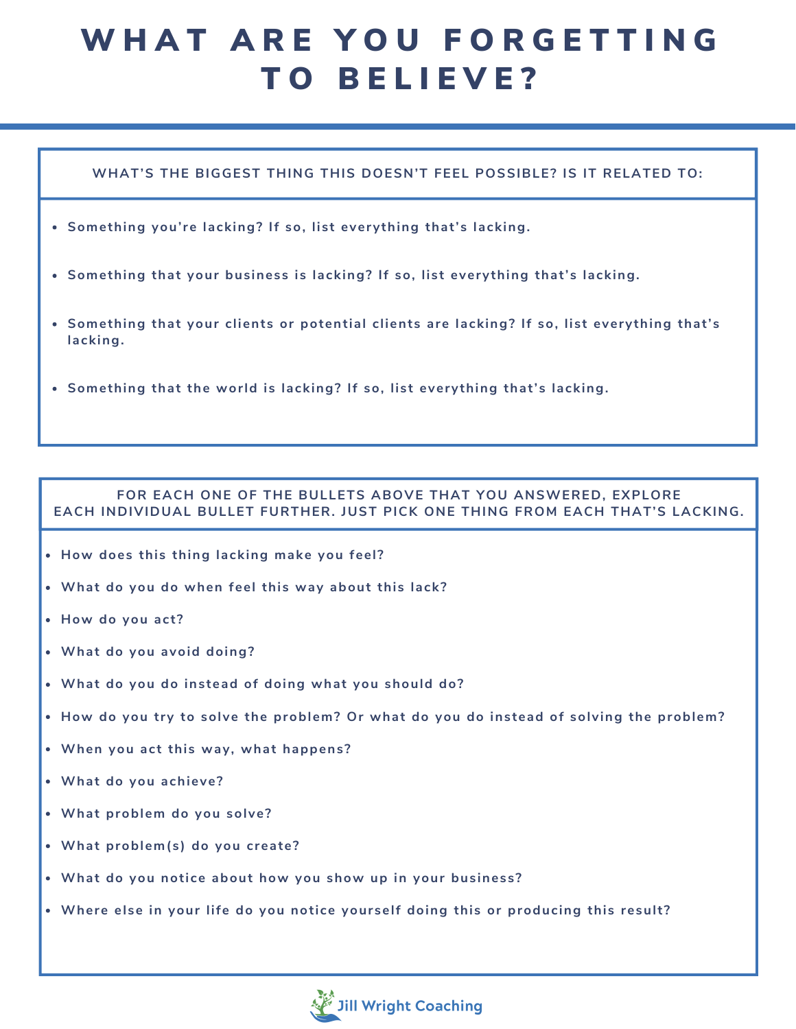## WHAT ARE YOU FORGETTING TO BELIEVE?

### **WHAT'S THE BIGGEST THING THIS DOESN'T FEEL POSSIBLE? IS IT RELATED TO:**

- **Something you're lacking? If so, list everything that's lacking.**
- **Something that your business is lacking? If so, list everything that's lacking.**
- **Something that your clients or potential clients are lacking? If so, list everything that's lacking.**
- **Something that the world is lacking? If so, list everything that's lacking.**

#### **FOR EACH ONE OF THE BULLETS ABOVE THAT YOU ANSWERED, EXPLORE EACH INDIVIDUAL BULLET FURTHER. JUST PICK ONE THING FROM EACH THAT'S LACKING.**

- **How does this thing lacking make you feel ?**
- **What do you do when feel this way about this lack?**
- **How do you act ?**
- **What do you avoid doing?**
- **What do you do instead of doing what you should do?**
- **How do you try to solve the problem? Or what do you do instead of solving the problem?**
- **When you act this way, what happens?**
- **What do you achieve?**
- **What problem do you solve?**
- **What problem(s) do you create?**
- **What do you notice about how you show up in your business?**
- **Where else in your life do you notice yourself doing this or producing this result ?**